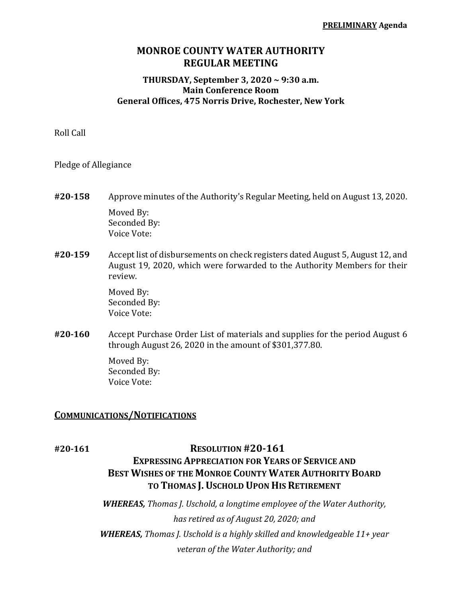## **MONROE COUNTY WATER AUTHORITY REGULAR MEETING**

### **THURSDAY, September 3, 2020 ~ 9:30 a.m. Main Conference Room General Offices, 475 Norris Drive, Rochester, New York**

Roll Call

Pledge of Allegiance

- **#20‐158** Approve minutes of the Authority's Regular Meeting, held on August 13, 2020. Moved By: Seconded By: Voice Vote:
- **#20‐159** Accept list of disbursements on check registers dated August 5, August 12, and August 19, 2020, which were forwarded to the Authority Members for their review.

 Moved By: Seconded By: Voice Vote:

**#20‐160** Accept Purchase Order List of materials and supplies for the period August 6 through August 26, 2020 in the amount of \$301,377.80.

> Moved By: Seconded By: Voice Vote:

### **COMMUNICATIONS/NOTIFICATIONS**

## **#20‐161 RESOLUTION #20‐161**

# **EXPRESSING APPRECIATION FOR YEARS OF SERVICE AND BEST WISHES OF THE MONROE COUNTY WATER AUTHORITY BOARD TO THOMAS J. USCHOLD UPON HIS RETIREMENT**

*WHEREAS, Thomas J. Uschold, a longtime employee of the Water Authority, has retired as of August 20, 2020; and WHEREAS, Thomas J. Uschold is a highly skilled and knowledgeable 11+ year veteran of the Water Authority; and*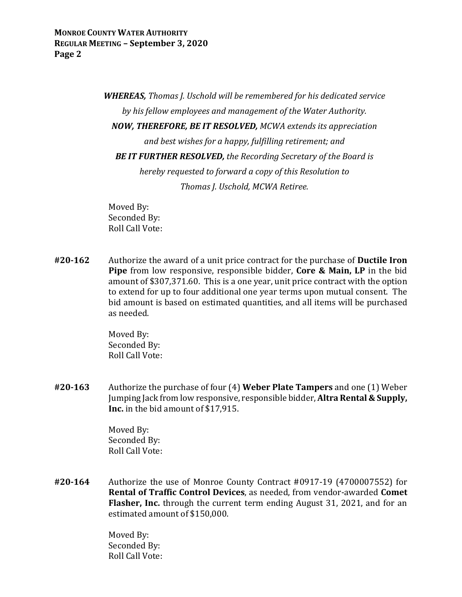*WHEREAS, Thomas J. Uschold will be remembered for his dedicated service by his fellow employees and management of the Water Authority. NOW, THEREFORE, BE IT RESOLVED, MCWA extends its appreciation and best wishes for a happy, fulfilling retirement; and BE IT FURTHER RESOLVED, the Recording Secretary of the Board is hereby requested to forward a copy of this Resolution to Thomas J. Uschold, MCWA Retiree.*

 Moved By: Seconded By: Roll Call Vote:

**#20‐162** Authorize the award of a unit price contract for the purchase of **Ductile Iron Pipe** from low responsive, responsible bidder, **Core & Main, LP** in the bid amount of \$307,371.60. This is a one year, unit price contract with the option to extend for up to four additional one year terms upon mutual consent. The bid amount is based on estimated quantities, and all items will be purchased as needed.

> Moved By: Seconded By: Roll Call Vote:

**#20‐163** Authorize the purchase of four (4) **Weber Plate Tampers** and one (1) Weber Jumping Jack from low responsive, responsible bidder, **Altra Rental & Supply, Inc.** in the bid amount of \$17,915.

> Moved By: Seconded By: Roll Call Vote:

**#20‐164** Authorize the use of Monroe County Contract #0917-19 (4700007552) for **Rental of Traffic Control Devices**, as needed, from vendor-awarded **Comet Flasher, Inc.** through the current term ending August 31, 2021, and for an estimated amount of \$150,000.

> Moved By: Seconded By: Roll Call Vote: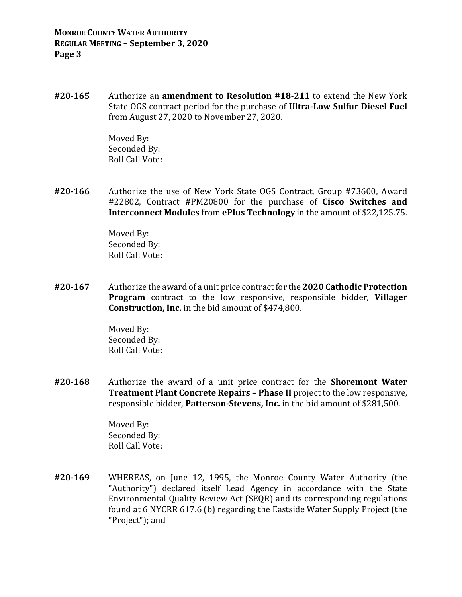**#20‐165** Authorize an **amendment to Resolution #18‐211** to extend the New York State OGS contract period for the purchase of **Ultra‐Low Sulfur Diesel Fuel** from August 27, 2020 to November 27, 2020.

> Moved By: Seconded By: Roll Call Vote:

**#20‐166** Authorize the use of New York State OGS Contract, Group #73600, Award #22802, Contract #PM20800 for the purchase of **Cisco Switches and Interconnect Modules** from **ePlus Technology** in the amount of \$22,125.75.

> Moved By: Seconded By: Roll Call Vote:

**#20‐167** Authorize the award of a unit price contract for the **2020 Cathodic Protection Program** contract to the low responsive, responsible bidder, **Villager Construction, Inc.** in the bid amount of \$474,800.

> Moved By: Seconded By: Roll Call Vote:

**#20‐168** Authorize the award of a unit price contract for the **Shoremont Water Treatment Plant Concrete Repairs – Phase II** project to the low responsive, responsible bidder, **Patterson‐Stevens, Inc.** in the bid amount of \$281,500.

> Moved By: Seconded By: Roll Call Vote:

**#20‐169** WHEREAS, on June 12, 1995, the Monroe County Water Authority (the "Authority") declared itself Lead Agency in accordance with the State Environmental Quality Review Act (SEQR) and its corresponding regulations found at 6 NYCRR 617.6 (b) regarding the Eastside Water Supply Project (the "Project"); and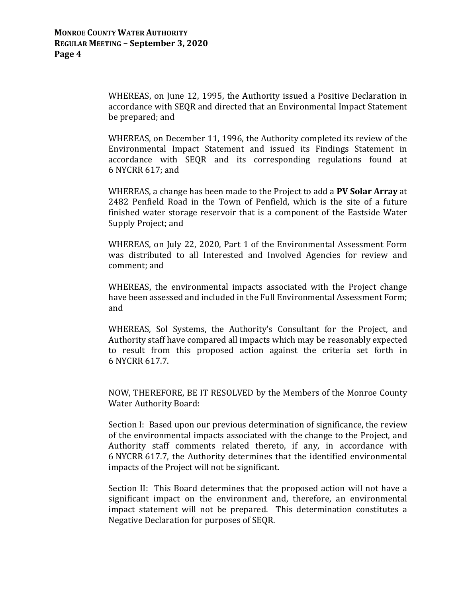WHEREAS, on June 12, 1995, the Authority issued a Positive Declaration in accordance with SEQR and directed that an Environmental Impact Statement be prepared; and

 WHEREAS, on December 11, 1996, the Authority completed its review of the Environmental Impact Statement and issued its Findings Statement in accordance with SEQR and its corresponding regulations found at 6 NYCRR 617; and

 WHEREAS, a change has been made to the Project to add a **PV Solar Array** at 2482 Penfield Road in the Town of Penfield, which is the site of a future finished water storage reservoir that is a component of the Eastside Water Supply Project; and

 WHEREAS, on July 22, 2020, Part 1 of the Environmental Assessment Form was distributed to all Interested and Involved Agencies for review and comment; and

 WHEREAS, the environmental impacts associated with the Project change have been assessed and included in the Full Environmental Assessment Form; and

 WHEREAS, Sol Systems, the Authority's Consultant for the Project, and Authority staff have compared all impacts which may be reasonably expected to result from this proposed action against the criteria set forth in 6 NYCRR 617.7.

 NOW, THEREFORE, BE IT RESOLVED by the Members of the Monroe County Water Authority Board:

 Section I: Based upon our previous determination of significance, the review of the environmental impacts associated with the change to the Project, and Authority staff comments related thereto, if any, in accordance with 6 NYCRR 617.7, the Authority determines that the identified environmental impacts of the Project will not be significant.

 Section II: This Board determines that the proposed action will not have a significant impact on the environment and, therefore, an environmental impact statement will not be prepared. This determination constitutes a Negative Declaration for purposes of SEQR.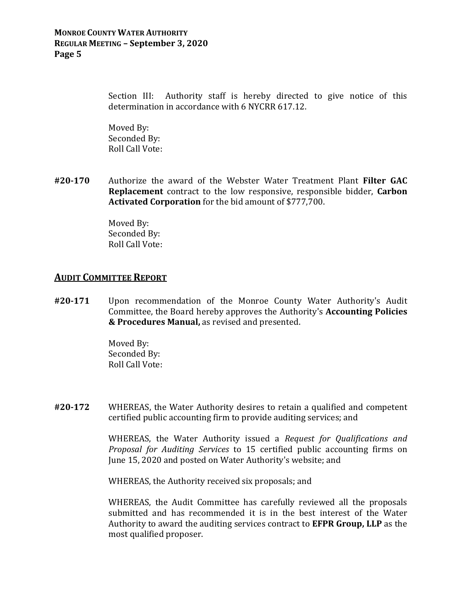#### **MONROE COUNTY WATER AUTHORITY REGULAR MEETING – September 3, 2020 Page 5**

Section III: Authority staff is hereby directed to give notice of this determination in accordance with 6 NYCRR 617.12.

 Moved By: Seconded By: Roll Call Vote:

**#20‐170** Authorize the award of the Webster Water Treatment Plant **Filter GAC Replacement** contract to the low responsive, responsible bidder, **Carbon Activated Corporation** for the bid amount of \$777,700.

> Moved By: Seconded By: Roll Call Vote:

## **AUDIT COMMITTEE REPORT**

**#20‐171** Upon recommendation of the Monroe County Water Authority's Audit Committee, the Board hereby approves the Authority's **Accounting Policies & Procedures Manual,** as revised and presented.

> Moved By: Seconded By: Roll Call Vote:

**#20‐172** WHEREAS, the Water Authority desires to retain a qualified and competent certified public accounting firm to provide auditing services; and

> WHEREAS, the Water Authority issued a *Request for Qualifications and Proposal for Auditing Services* to 15 certified public accounting firms on June 15, 2020 and posted on Water Authority's website; and

WHEREAS, the Authority received six proposals; and

 WHEREAS, the Audit Committee has carefully reviewed all the proposals submitted and has recommended it is in the best interest of the Water Authority to award the auditing services contract to **EFPR Group, LLP** as the most qualified proposer.